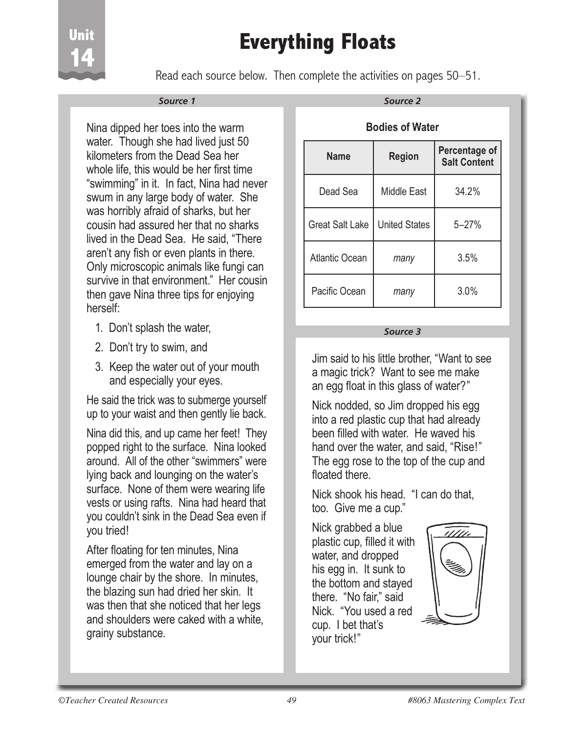# **Everything Floats**



Read each source below. Then complete the activities on pages 50–51.

#### *Source 1*

Nina dipped her toes into the warm water. Though she had lived just 50 kilometers from the Dead Sea her whole life, this would be her first time "swimming" in it. In fact, Nina had never swum in any large body of water. She was horribly afraid of sharks, but her cousin had assured her that no sharks lived in the Dead Sea. He said, "There aren't any fish or even plants in there. Only microscopic animals like fungi can survive in that environment." Her cousin then gave Nina three tips for enjoying herself:

- 1. Don't splash the water,
- 2. Don't try to swim, and
- 3. Keep the water out of your mouth and especially your eyes.

He said the trick was to submerge yourself up to your waist and then gently lie back.

Nina did this, and up came her feet! They popped right to the surface. Nina looked around. All of the other "swimmers" were lying back and lounging on the water's surface. None of them were wearing life vests or using rafts. Nina had heard that you couldn't sink in the Dead Sea even if you tried!

After floating for ten minutes, Nina emerged from the water and lay on a lounge chair by the shore. In minutes, the blazing sun had dried her skin. It was then that she noticed that her legs and shoulders were caked with a white, grainy substance.

#### **Bodies of Water**

| <b>Name</b>            | <b>Region</b>        | Percentage of<br><b>Salt Content</b> |  |  |  |  |
|------------------------|----------------------|--------------------------------------|--|--|--|--|
| Dead Sea               | <b>Middle East</b>   | 34.2%                                |  |  |  |  |
| <b>Great Salt Lake</b> | <b>United States</b> | $5 - 27%$                            |  |  |  |  |
| <b>Atlantic Ocean</b>  | many                 | 3.5%                                 |  |  |  |  |
| Pacific Ocean          | many                 | 3.0%                                 |  |  |  |  |

#### *Source 3*

Jim said to his little brother, "Want to see a magic trick? Want to see me make an egg float in this glass of water?"

Nick nodded, so Jim dropped his egg into a red plastic cup that had already been filled with water. He waved his hand over the water, and said, "Rise!" The egg rose to the top of the cup and floated there

Nick shook his head. "I can do that, too. Give me a cup."

Nick grabbed a blue plastic cup, filled it with water, and dropped his egg in. It sunk to the bottom and stayed there. "No fair," said Nick. "You used a red cup. I bet that's your trick!"

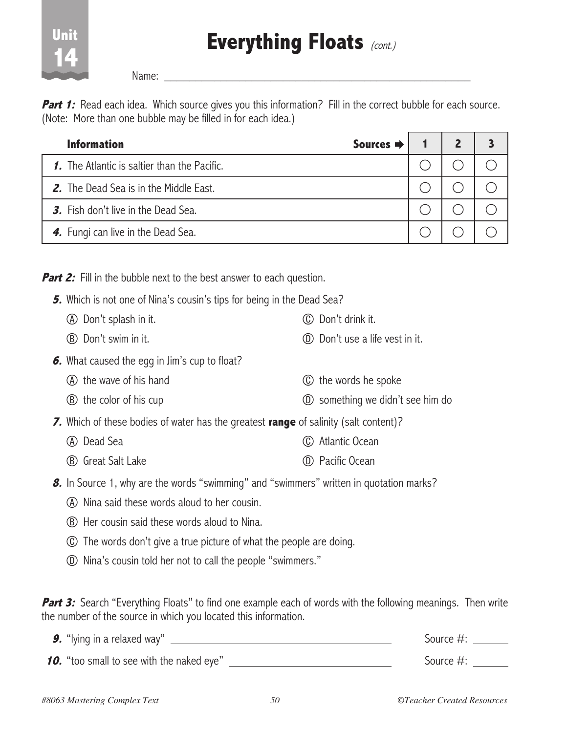## **Everything Floats** (cont.)

 $Name:$ 

**Unit** 

**14**

**Part 1:** Read each idea. Which source gives you this information? Fill in the correct bubble for each source. (Note: More than one bubble may be filled in for each idea.)

| <b>Information</b><br>Sources $\Rightarrow$   |  |  |
|-----------------------------------------------|--|--|
| 1. The Atlantic is saltier than the Pacific.  |  |  |
| <b>2.</b> The Dead Sea is in the Middle East. |  |  |
| 3. Fish don't live in the Dead Sea.           |  |  |
| 4. Fungi can live in the Dead Sea.            |  |  |

**Part 2:** Fill in the bubble next to the best answer to each question.

- **5.** Which is not one of Nina's cousin's tips for being in the Dead Sea?
	- A Don't splash in it. C Don't drink it.
	- B Don't swim in it. D Don't use a life vest in it.
- **6.** What caused the egg in Jim's cup to float?
	- A the wave of his hand C the words he spoke
	- B the color of his cup D something we didn't see him do
- **7.** Which of these bodies of water has the greatest **range** of salinity (salt content)?
	- A Dead Sea
	- (B) Great Salt Lake
- **8.** In Source 1, why are the words "swimming" and "swimmers" written in quotation marks?
	- A Nina said these words aloud to her cousin.
	- B Her cousin said these words aloud to Nina.
	- C The words don't give a true picture of what the people are doing.
	- D Nina's cousin told her not to call the people "swimmers."

**Part 3:** Search "Everything Floats" to find one example each of words with the following meanings. Then write the number of the source in which you located this information.

 C Atlantic Ocean

 D Pacific Ocean

**9.** "Iying in a relaxed way"  $\qquad \qquad$ **10.** "too small to see with the naked eye"  $\frac{1}{2}$  [300] Source #: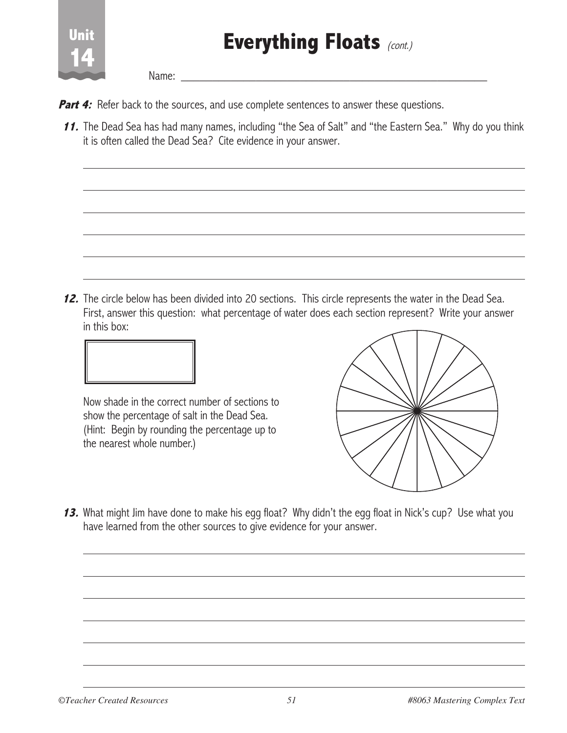

Name:

- **Part 4:** Refer back to the sources, and use complete sentences to answer these questions.
- **11.** The Dead Sea has had many names, including "the Sea of Salt" and "the Eastern Sea." Why do you think it is often called the Dead Sea? Cite evidence in your answer.

**12.** The circle below has been divided into 20 sections. This circle represents the water in the Dead Sea. First, answer this question: what percentage of water does each section represent? Write your answer in this box:



Now shade in the correct number of sections to show the percentage of salt in the Dead Sea. (Hint: Begin by rounding the percentage up to the nearest whole number.)



**13.** What might Jim have done to make his egg float? Why didn't the egg float in Nick's cup? Use what you have learned from the other sources to give evidence for your answer.